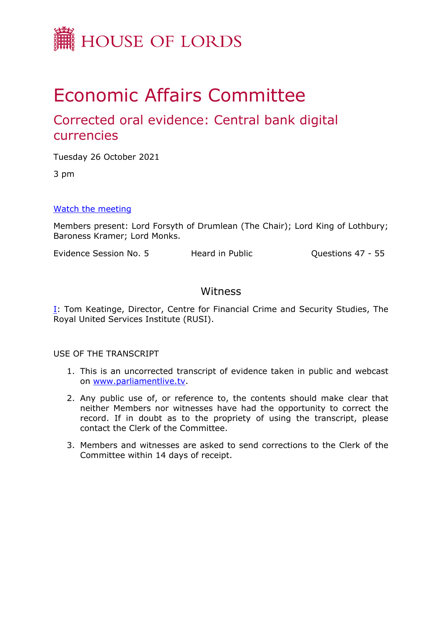

# Economic Affairs Committee

# Corrected oral evidence: Central bank digital currencies

Tuesday 26 October 2021

3 pm

#### [Watch](https://www.parliamentlive.tv/Event/Index/6dfb18ce-4bd3-4e30-92ca-0c66a31c439b) [the](https://www.parliamentlive.tv/Event/Index/6dfb18ce-4bd3-4e30-92ca-0c66a31c439b) [meeting](https://www.parliamentlive.tv/Event/Index/6dfb18ce-4bd3-4e30-92ca-0c66a31c439b)

Members present: Lord Forsyth of Drumlean (The Chair); Lord King of Lothbury; Baroness Kramer; Lord Monks.

Evidence Session No. 5 Heard in Public Cuestions 47 - 55

### Witness

[I:](#page-1-0) Tom Keatinge, Director, Centre for Financial Crime and Security Studies, The Royal United Services Institute (RUSI).

#### USE OF THE TRANSCRIPT

- 1. This is an uncorrected transcript of evidence taken in public and webcast on [www.parliamentlive.tv.](http://www.parliamentlive.tv/)
- 2. Any public use of, or reference to, the contents should make clear that neither Members nor witnesses have had the opportunity to correct the record. If in doubt as to the propriety of using the transcript, please contact the Clerk of the Committee.
- 3. Members and witnesses are asked to send corrections to the Clerk of the Committee within 14 days of receipt.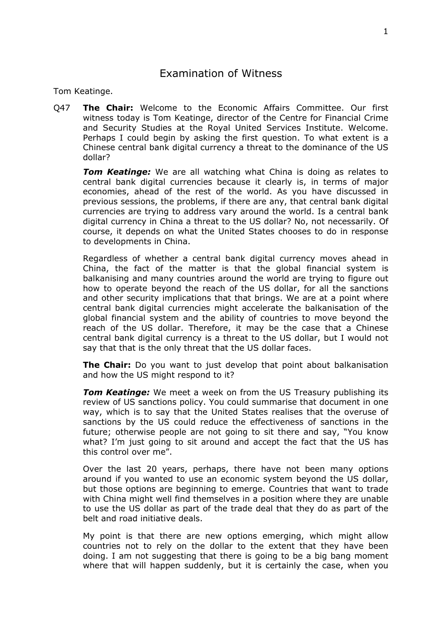## <span id="page-1-0"></span>Examination of Witness

Tom Keatinge.

Q47 **The Chair:** Welcome to the Economic Affairs Committee. Our first witness today is Tom Keatinge, director of the Centre for Financial Crime and Security Studies at the Royal United Services Institute. Welcome. Perhaps I could begin by asking the first question. To what extent is a Chinese central bank digital currency a threat to the dominance of the US dollar?

*Tom Keatinge:* We are all watching what China is doing as relates to central bank digital currencies because it clearly is, in terms of major economies, ahead of the rest of the world. As you have discussed in previous sessions, the problems, if there are any, that central bank digital currencies are trying to address vary around the world. Is a central bank digital currency in China a threat to the US dollar? No, not necessarily. Of course, it depends on what the United States chooses to do in response to developments in China.

Regardless of whether a central bank digital currency moves ahead in China, the fact of the matter is that the global financial system is balkanising and many countries around the world are trying to figure out how to operate beyond the reach of the US dollar, for all the sanctions and other security implications that that brings. We are at a point where central bank digital currencies might accelerate the balkanisation of the global financial system and the ability of countries to move beyond the reach of the US dollar. Therefore, it may be the case that a Chinese central bank digital currency is a threat to the US dollar, but I would not say that that is the only threat that the US dollar faces.

**The Chair:** Do you want to just develop that point about balkanisation and how the US might respond to it?

**Tom Keatinge:** We meet a week on from the US Treasury publishing its review of US sanctions policy. You could summarise that document in one way, which is to say that the United States realises that the overuse of sanctions by the US could reduce the effectiveness of sanctions in the future; otherwise people are not going to sit there and say, "You know what? I'm just going to sit around and accept the fact that the US has this control over me".

Over the last 20 years, perhaps, there have not been many options around if you wanted to use an economic system beyond the US dollar, but those options are beginning to emerge. Countries that want to trade with China might well find themselves in a position where they are unable to use the US dollar as part of the trade deal that they do as part of the belt and road initiative deals.

My point is that there are new options emerging, which might allow countries not to rely on the dollar to the extent that they have been doing. I am not suggesting that there is going to be a big bang moment where that will happen suddenly, but it is certainly the case, when you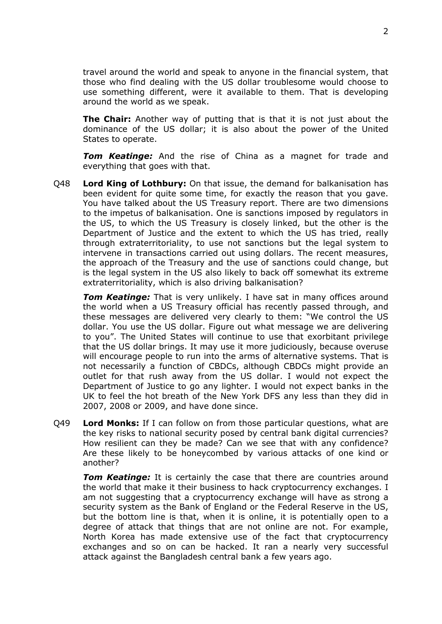travel around the world and speak to anyone in the financial system, that those who find dealing with the US dollar troublesome would choose to use something different, were it available to them. That is developing around the world as we speak.

**The Chair:** Another way of putting that is that it is not just about the dominance of the US dollar; it is also about the power of the United States to operate.

*Tom Keatinge:* And the rise of China as a magnet for trade and everything that goes with that.

Q48 **Lord King of Lothbury:** On that issue, the demand for balkanisation has been evident for quite some time, for exactly the reason that you gave. You have talked about the US Treasury report. There are two dimensions to the impetus of balkanisation. One is sanctions imposed by regulators in the US, to which the US Treasury is closely linked, but the other is the Department of Justice and the extent to which the US has tried, really through extraterritoriality, to use not sanctions but the legal system to intervene in transactions carried out using dollars. The recent measures, the approach of the Treasury and the use of sanctions could change, but is the legal system in the US also likely to back off somewhat its extreme extraterritoriality, which is also driving balkanisation?

*Tom Keatinge:* That is very unlikely. I have sat in many offices around the world when a US Treasury official has recently passed through, and these messages are delivered very clearly to them: "We control the US dollar. You use the US dollar. Figure out what message we are delivering to you". The United States will continue to use that exorbitant privilege that the US dollar brings. It may use it more judiciously, because overuse will encourage people to run into the arms of alternative systems. That is not necessarily a function of CBDCs, although CBDCs might provide an outlet for that rush away from the US dollar. I would not expect the Department of Justice to go any lighter. I would not expect banks in the UK to feel the hot breath of the New York DFS any less than they did in 2007, 2008 or 2009, and have done since.

Q49 **Lord Monks:** If I can follow on from those particular questions, what are the key risks to national security posed by central bank digital currencies? How resilient can they be made? Can we see that with any confidence? Are these likely to be honeycombed by various attacks of one kind or another?

*Tom Keatinge:* It is certainly the case that there are countries around the world that make it their business to hack cryptocurrency exchanges. I am not suggesting that a cryptocurrency exchange will have as strong a security system as the Bank of England or the Federal Reserve in the US, but the bottom line is that, when it is online, it is potentially open to a degree of attack that things that are not online are not. For example, North Korea has made extensive use of the fact that cryptocurrency exchanges and so on can be hacked. It ran a nearly very successful attack against the Bangladesh central bank a few years ago.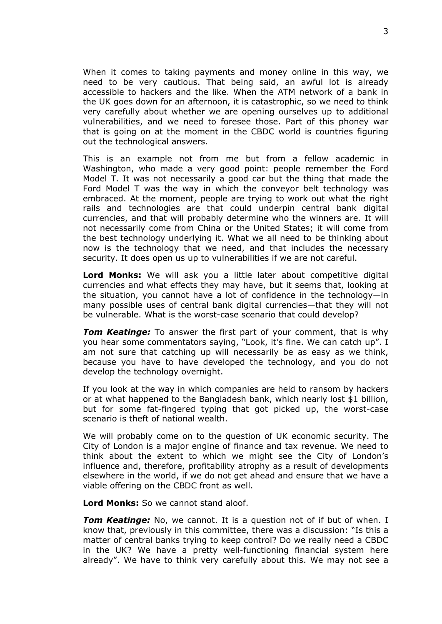When it comes to taking payments and money online in this way, we need to be very cautious. That being said, an awful lot is already accessible to hackers and the like. When the ATM network of a bank in the UK goes down for an afternoon, it is catastrophic, so we need to think very carefully about whether we are opening ourselves up to additional vulnerabilities, and we need to foresee those. Part of this phoney war that is going on at the moment in the CBDC world is countries figuring out the technological answers.

This is an example not from me but from a fellow academic in Washington, who made a very good point: people remember the Ford Model T. It was not necessarily a good car but the thing that made the Ford Model T was the way in which the conveyor belt technology was embraced. At the moment, people are trying to work out what the right rails and technologies are that could underpin central bank digital currencies, and that will probably determine who the winners are. It will not necessarily come from China or the United States; it will come from the best technology underlying it. What we all need to be thinking about now is the technology that we need, and that includes the necessary security. It does open us up to vulnerabilities if we are not careful.

**Lord Monks:** We will ask you a little later about competitive digital currencies and what effects they may have, but it seems that, looking at the situation, you cannot have a lot of confidence in the technology—in many possible uses of central bank digital currencies—that they will not be vulnerable. What is the worst-case scenario that could develop?

*Tom Keatinge:* To answer the first part of your comment, that is why you hear some commentators saying, "Look, it's fine. We can catch up". I am not sure that catching up will necessarily be as easy as we think, because you have to have developed the technology, and you do not develop the technology overnight.

If you look at the way in which companies are held to ransom by hackers or at what happened to the Bangladesh bank, which nearly lost \$1 billion, but for some fat-fingered typing that got picked up, the worst-case scenario is theft of national wealth.

We will probably come on to the question of UK economic security. The City of London is a major engine of finance and tax revenue. We need to think about the extent to which we might see the City of London's influence and, therefore, profitability atrophy as a result of developments elsewhere in the world, if we do not get ahead and ensure that we have a viable offering on the CBDC front as well.

**Lord Monks:** So we cannot stand aloof.

**Tom Keatinge:** No, we cannot. It is a question not of if but of when. I know that, previously in this committee, there was a discussion: "Is this a matter of central banks trying to keep control? Do we really need a CBDC in the UK? We have a pretty well-functioning financial system here already". We have to think very carefully about this. We may not see a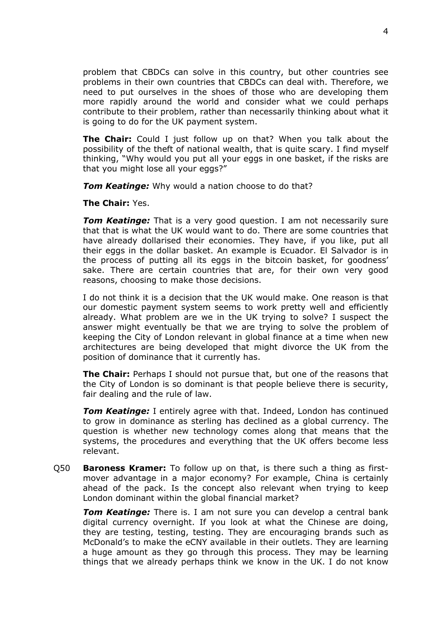problem that CBDCs can solve in this country, but other countries see problems in their own countries that CBDCs can deal with. Therefore, we need to put ourselves in the shoes of those who are developing them more rapidly around the world and consider what we could perhaps contribute to their problem, rather than necessarily thinking about what it is going to do for the UK payment system.

**The Chair:** Could I just follow up on that? When you talk about the possibility of the theft of national wealth, that is quite scary. I find myself thinking, "Why would you put all your eggs in one basket, if the risks are that you might lose all your eggs?"

*Tom Keatinge:* Why would a nation choose to do that?

**The Chair:** Yes.

*Tom Keatinge:* That is a very good question. I am not necessarily sure that that is what the UK would want to do. There are some countries that have already dollarised their economies. They have, if you like, put all their eggs in the dollar basket. An example is Ecuador. El Salvador is in the process of putting all its eggs in the bitcoin basket, for goodness' sake. There are certain countries that are, for their own very good reasons, choosing to make those decisions.

I do not think it is a decision that the UK would make. One reason is that our domestic payment system seems to work pretty well and efficiently already. What problem are we in the UK trying to solve? I suspect the answer might eventually be that we are trying to solve the problem of keeping the City of London relevant in global finance at a time when new architectures are being developed that might divorce the UK from the position of dominance that it currently has.

**The Chair:** Perhaps I should not pursue that, but one of the reasons that the City of London is so dominant is that people believe there is security, fair dealing and the rule of law.

*Tom Keatinge:* I entirely agree with that. Indeed, London has continued to grow in dominance as sterling has declined as a global currency. The question is whether new technology comes along that means that the systems, the procedures and everything that the UK offers become less relevant.

Q50 **Baroness Kramer:** To follow up on that, is there such a thing as firstmover advantage in a major economy? For example, China is certainly ahead of the pack. Is the concept also relevant when trying to keep London dominant within the global financial market?

*Tom Keatinge:* There is. I am not sure you can develop a central bank digital currency overnight. If you look at what the Chinese are doing, they are testing, testing, testing. They are encouraging brands such as McDonald's to make the eCNY available in their outlets. They are learning a huge amount as they go through this process. They may be learning things that we already perhaps think we know in the UK. I do not know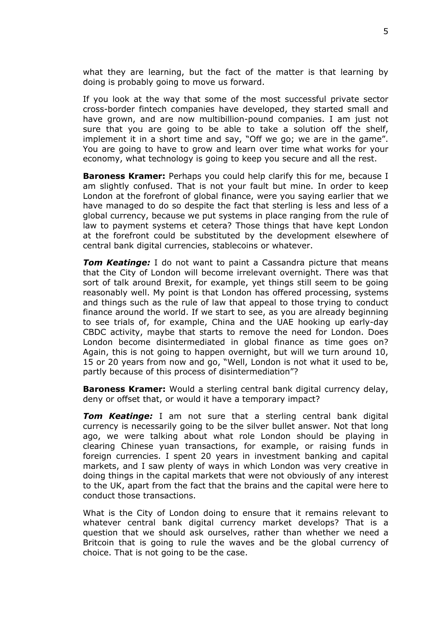what they are learning, but the fact of the matter is that learning by doing is probably going to move us forward.

If you look at the way that some of the most successful private sector cross-border fintech companies have developed, they started small and have grown, and are now multibillion-pound companies. I am just not sure that you are going to be able to take a solution off the shelf, implement it in a short time and say, "Off we go; we are in the game". You are going to have to grow and learn over time what works for your economy, what technology is going to keep you secure and all the rest.

**Baroness Kramer:** Perhaps you could help clarify this for me, because I am slightly confused. That is not your fault but mine. In order to keep London at the forefront of global finance, were you saying earlier that we have managed to do so despite the fact that sterling is less and less of a global currency, because we put systems in place ranging from the rule of law to payment systems et cetera? Those things that have kept London at the forefront could be substituted by the development elsewhere of central bank digital currencies, stablecoins or whatever.

**Tom Keatinge:** I do not want to paint a Cassandra picture that means that the City of London will become irrelevant overnight. There was that sort of talk around Brexit, for example, yet things still seem to be going reasonably well. My point is that London has offered processing, systems and things such as the rule of law that appeal to those trying to conduct finance around the world. If we start to see, as you are already beginning to see trials of, for example, China and the UAE hooking up early-day CBDC activity, maybe that starts to remove the need for London. Does London become disintermediated in global finance as time goes on? Again, this is not going to happen overnight, but will we turn around 10, 15 or 20 years from now and go, "Well, London is not what it used to be, partly because of this process of disintermediation"?

**Baroness Kramer:** Would a sterling central bank digital currency delay, deny or offset that, or would it have a temporary impact?

*Tom Keatinge:* I am not sure that a sterling central bank digital currency is necessarily going to be the silver bullet answer. Not that long ago, we were talking about what role London should be playing in clearing Chinese yuan transactions, for example, or raising funds in foreign currencies. I spent 20 years in investment banking and capital markets, and I saw plenty of ways in which London was very creative in doing things in the capital markets that were not obviously of any interest to the UK, apart from the fact that the brains and the capital were here to conduct those transactions.

What is the City of London doing to ensure that it remains relevant to whatever central bank digital currency market develops? That is a question that we should ask ourselves, rather than whether we need a Britcoin that is going to rule the waves and be the global currency of choice. That is not going to be the case.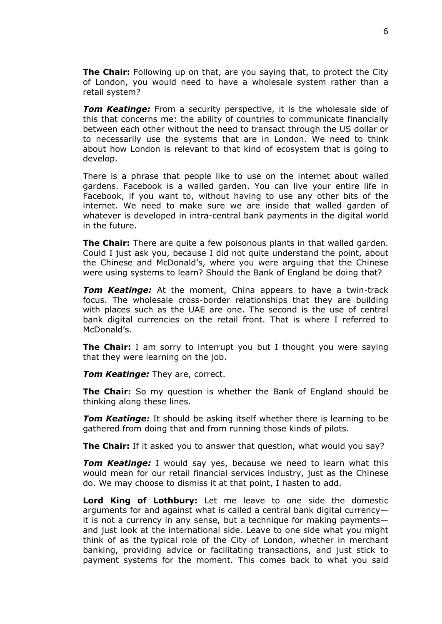**The Chair:** Following up on that, are you saying that, to protect the City of London, you would need to have a wholesale system rather than a retail system?

**Tom Keatinge:** From a security perspective, it is the wholesale side of this that concerns me: the ability of countries to communicate financially between each other without the need to transact through the US dollar or to necessarily use the systems that are in London. We need to think about how London is relevant to that kind of ecosystem that is going to develop.

There is a phrase that people like to use on the internet about walled gardens. Facebook is a walled garden. You can live your entire life in Facebook, if you want to, without having to use any other bits of the internet. We need to make sure we are inside that walled garden of whatever is developed in intra-central bank payments in the digital world in the future.

**The Chair:** There are quite a few poisonous plants in that walled garden. Could I just ask you, because I did not quite understand the point, about the Chinese and McDonald's, where you were arguing that the Chinese were using systems to learn? Should the Bank of England be doing that?

*Tom Keatinge:* At the moment, China appears to have a twin-track focus. The wholesale cross-border relationships that they are building with places such as the UAE are one. The second is the use of central bank digital currencies on the retail front. That is where I referred to McDonald's.

**The Chair:** I am sorry to interrupt you but I thought you were saying that they were learning on the job.

*Tom Keatinge: They are, correct.* 

**The Chair:** So my question is whether the Bank of England should be thinking along these lines.

*Tom Keatinge:* It should be asking itself whether there is learning to be gathered from doing that and from running those kinds of pilots.

**The Chair:** If it asked you to answer that question, what would you say?

*Tom Keatinge:* I would say yes, because we need to learn what this would mean for our retail financial services industry, just as the Chinese do. We may choose to dismiss it at that point, I hasten to add.

**Lord King of Lothbury:** Let me leave to one side the domestic arguments for and against what is called a central bank digital currency it is not a currency in any sense, but a technique for making payments and just look at the international side. Leave to one side what you might think of as the typical role of the City of London, whether in merchant banking, providing advice or facilitating transactions, and just stick to payment systems for the moment. This comes back to what you said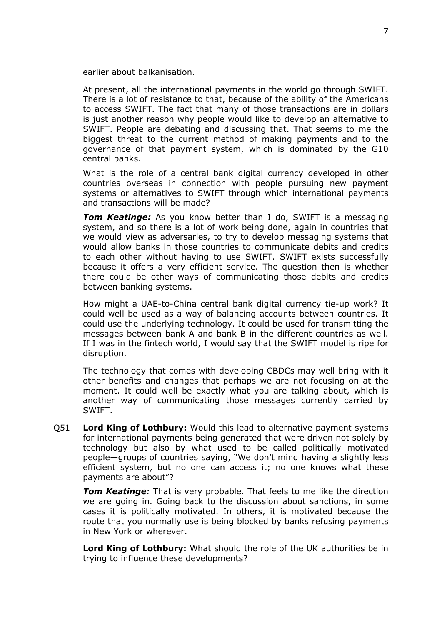earlier about balkanisation.

At present, all the international payments in the world go through SWIFT. There is a lot of resistance to that, because of the ability of the Americans to access SWIFT. The fact that many of those transactions are in dollars is just another reason why people would like to develop an alternative to SWIFT. People are debating and discussing that. That seems to me the biggest threat to the current method of making payments and to the governance of that payment system, which is dominated by the G10 central banks.

What is the role of a central bank digital currency developed in other countries overseas in connection with people pursuing new payment systems or alternatives to SWIFT through which international payments and transactions will be made?

**Tom Keatinge:** As you know better than I do, SWIFT is a messaging system, and so there is a lot of work being done, again in countries that we would view as adversaries, to try to develop messaging systems that would allow banks in those countries to communicate debits and credits to each other without having to use SWIFT. SWIFT exists successfully because it offers a very efficient service. The question then is whether there could be other ways of communicating those debits and credits between banking systems.

How might a UAE-to-China central bank digital currency tie-up work? It could well be used as a way of balancing accounts between countries. It could use the underlying technology. It could be used for transmitting the messages between bank A and bank B in the different countries as well. If I was in the fintech world, I would say that the SWIFT model is ripe for disruption.

The technology that comes with developing CBDCs may well bring with it other benefits and changes that perhaps we are not focusing on at the moment. It could well be exactly what you are talking about, which is another way of communicating those messages currently carried by SWIFT.

Q51 **Lord King of Lothbury:** Would this lead to alternative payment systems for international payments being generated that were driven not solely by technology but also by what used to be called politically motivated people—groups of countries saying, "We don't mind having a slightly less efficient system, but no one can access it; no one knows what these payments are about"?

*Tom Keatinge:* That is very probable. That feels to me like the direction we are going in. Going back to the discussion about sanctions, in some cases it is politically motivated. In others, it is motivated because the route that you normally use is being blocked by banks refusing payments in New York or wherever.

**Lord King of Lothbury:** What should the role of the UK authorities be in trying to influence these developments?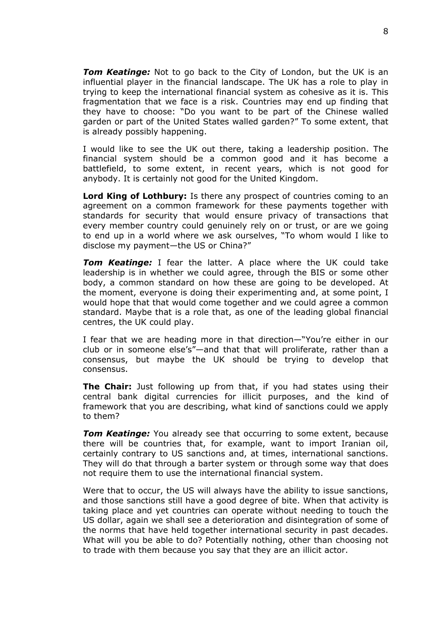*Tom Keatinge:* Not to go back to the City of London, but the UK is an influential player in the financial landscape. The UK has a role to play in trying to keep the international financial system as cohesive as it is. This fragmentation that we face is a risk. Countries may end up finding that they have to choose: "Do you want to be part of the Chinese walled garden or part of the United States walled garden?" To some extent, that is already possibly happening.

I would like to see the UK out there, taking a leadership position. The financial system should be a common good and it has become a battlefield, to some extent, in recent years, which is not good for anybody. It is certainly not good for the United Kingdom.

**Lord King of Lothbury:** Is there any prospect of countries coming to an agreement on a common framework for these payments together with standards for security that would ensure privacy of transactions that every member country could genuinely rely on or trust, or are we going to end up in a world where we ask ourselves, "To whom would I like to disclose my payment—the US or China?"

*Tom Keatinge:* I fear the latter. A place where the UK could take leadership is in whether we could agree, through the BIS or some other body, a common standard on how these are going to be developed. At the moment, everyone is doing their experimenting and, at some point, I would hope that that would come together and we could agree a common standard. Maybe that is a role that, as one of the leading global financial centres, the UK could play.

I fear that we are heading more in that direction—"You're either in our club or in someone else's"—and that that will proliferate, rather than a consensus, but maybe the UK should be trying to develop that consensus.

**The Chair:** Just following up from that, if you had states using their central bank digital currencies for illicit purposes, and the kind of framework that you are describing, what kind of sanctions could we apply to them?

*Tom Keatinge:* You already see that occurring to some extent, because there will be countries that, for example, want to import Iranian oil, certainly contrary to US sanctions and, at times, international sanctions. They will do that through a barter system or through some way that does not require them to use the international financial system.

Were that to occur, the US will always have the ability to issue sanctions, and those sanctions still have a good degree of bite. When that activity is taking place and yet countries can operate without needing to touch the US dollar, again we shall see a deterioration and disintegration of some of the norms that have held together international security in past decades. What will you be able to do? Potentially nothing, other than choosing not to trade with them because you say that they are an illicit actor.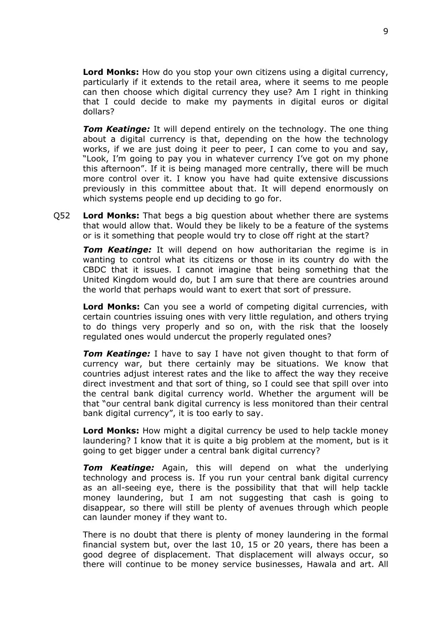**Lord Monks:** How do you stop your own citizens using a digital currency, particularly if it extends to the retail area, where it seems to me people can then choose which digital currency they use? Am I right in thinking that I could decide to make my payments in digital euros or digital dollars?

*Tom Keatinge:* It will depend entirely on the technology. The one thing about a digital currency is that, depending on the how the technology works, if we are just doing it peer to peer, I can come to you and say, "Look, I'm going to pay you in whatever currency I've got on my phone this afternoon". If it is being managed more centrally, there will be much more control over it. I know you have had quite extensive discussions previously in this committee about that. It will depend enormously on which systems people end up deciding to go for.

Q52 **Lord Monks:** That begs a big question about whether there are systems that would allow that. Would they be likely to be a feature of the systems or is it something that people would try to close off right at the start?

*Tom Keatinge:* It will depend on how authoritarian the regime is in wanting to control what its citizens or those in its country do with the CBDC that it issues. I cannot imagine that being something that the United Kingdom would do, but I am sure that there are countries around the world that perhaps would want to exert that sort of pressure.

**Lord Monks:** Can you see a world of competing digital currencies, with certain countries issuing ones with very little regulation, and others trying to do things very properly and so on, with the risk that the loosely regulated ones would undercut the properly regulated ones?

*Tom Keatinge:* I have to say I have not given thought to that form of currency war, but there certainly may be situations. We know that countries adjust interest rates and the like to affect the way they receive direct investment and that sort of thing, so I could see that spill over into the central bank digital currency world. Whether the argument will be that "our central bank digital currency is less monitored than their central bank digital currency", it is too early to say.

**Lord Monks:** How might a digital currency be used to help tackle money laundering? I know that it is quite a big problem at the moment, but is it going to get bigger under a central bank digital currency?

*Tom Keatinge:* Again, this will depend on what the underlying technology and process is. If you run your central bank digital currency as an all-seeing eye, there is the possibility that that will help tackle money laundering, but I am not suggesting that cash is going to disappear, so there will still be plenty of avenues through which people can launder money if they want to.

There is no doubt that there is plenty of money laundering in the formal financial system but, over the last 10, 15 or 20 years, there has been a good degree of displacement. That displacement will always occur, so there will continue to be money service businesses, Hawala and art. All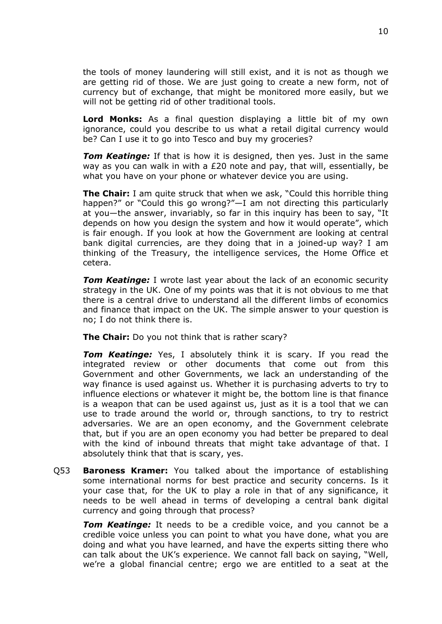the tools of money laundering will still exist, and it is not as though we are getting rid of those. We are just going to create a new form, not of currency but of exchange, that might be monitored more easily, but we will not be getting rid of other traditional tools.

**Lord Monks:** As a final question displaying a little bit of my own ignorance, could you describe to us what a retail digital currency would be? Can I use it to go into Tesco and buy my groceries?

*Tom Keatinge:* If that is how it is designed, then yes. Just in the same way as you can walk in with a £20 note and pay, that will, essentially, be what you have on your phone or whatever device you are using.

**The Chair:** I am quite struck that when we ask, "Could this horrible thing happen?" or "Could this go wrong?"—I am not directing this particularly at you—the answer, invariably, so far in this inquiry has been to say, "It depends on how you design the system and how it would operate", which is fair enough. If you look at how the Government are looking at central bank digital currencies, are they doing that in a joined-up way? I am thinking of the Treasury, the intelligence services, the Home Office et cetera.

*Tom Keatinge:* I wrote last year about the lack of an economic security strategy in the UK. One of my points was that it is not obvious to me that there is a central drive to understand all the different limbs of economics and finance that impact on the UK. The simple answer to your question is no; I do not think there is.

**The Chair:** Do you not think that is rather scary?

*Tom Keatinge:* Yes, I absolutely think it is scary. If you read the integrated review or other documents that come out from this Government and other Governments, we lack an understanding of the way finance is used against us. Whether it is purchasing adverts to try to influence elections or whatever it might be, the bottom line is that finance is a weapon that can be used against us, just as it is a tool that we can use to trade around the world or, through sanctions, to try to restrict adversaries. We are an open economy, and the Government celebrate that, but if you are an open economy you had better be prepared to deal with the kind of inbound threats that might take advantage of that. I absolutely think that that is scary, yes.

Q53 **Baroness Kramer:** You talked about the importance of establishing some international norms for best practice and security concerns. Is it your case that, for the UK to play a role in that of any significance, it needs to be well ahead in terms of developing a central bank digital currency and going through that process?

*Tom Keatinge:* It needs to be a credible voice, and you cannot be a credible voice unless you can point to what you have done, what you are doing and what you have learned, and have the experts sitting there who can talk about the UK's experience. We cannot fall back on saying, "Well, we're a global financial centre; ergo we are entitled to a seat at the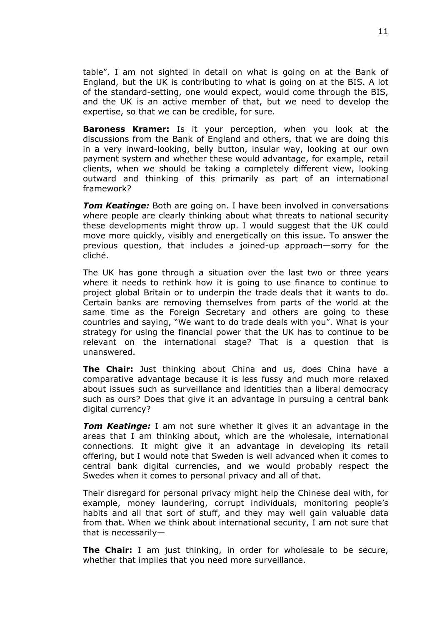table". I am not sighted in detail on what is going on at the Bank of England, but the UK is contributing to what is going on at the BIS. A lot of the standard-setting, one would expect, would come through the BIS, and the UK is an active member of that, but we need to develop the expertise, so that we can be credible, for sure.

**Baroness Kramer:** Is it your perception, when you look at the discussions from the Bank of England and others, that we are doing this in a very inward-looking, belly button, insular way, looking at our own payment system and whether these would advantage, for example, retail clients, when we should be taking a completely different view, looking outward and thinking of this primarily as part of an international framework?

*Tom Keatinge:* Both are going on. I have been involved in conversations where people are clearly thinking about what threats to national security these developments might throw up. I would suggest that the UK could move more quickly, visibly and energetically on this issue. To answer the previous question, that includes a joined-up approach—sorry for the cliché.

The UK has gone through a situation over the last two or three years where it needs to rethink how it is going to use finance to continue to project global Britain or to underpin the trade deals that it wants to do. Certain banks are removing themselves from parts of the world at the same time as the Foreign Secretary and others are going to these countries and saying, "We want to do trade deals with you". What is your strategy for using the financial power that the UK has to continue to be relevant on the international stage? That is a question that is unanswered.

**The Chair:** Just thinking about China and us, does China have a comparative advantage because it is less fussy and much more relaxed about issues such as surveillance and identities than a liberal democracy such as ours? Does that give it an advantage in pursuing a central bank digital currency?

*Tom Keatinge:* I am not sure whether it gives it an advantage in the areas that I am thinking about, which are the wholesale, international connections. It might give it an advantage in developing its retail offering, but I would note that Sweden is well advanced when it comes to central bank digital currencies, and we would probably respect the Swedes when it comes to personal privacy and all of that.

Their disregard for personal privacy might help the Chinese deal with, for example, money laundering, corrupt individuals, monitoring people's habits and all that sort of stuff, and they may well gain valuable data from that. When we think about international security, I am not sure that that is necessarily—

**The Chair:** I am just thinking, in order for wholesale to be secure, whether that implies that you need more surveillance.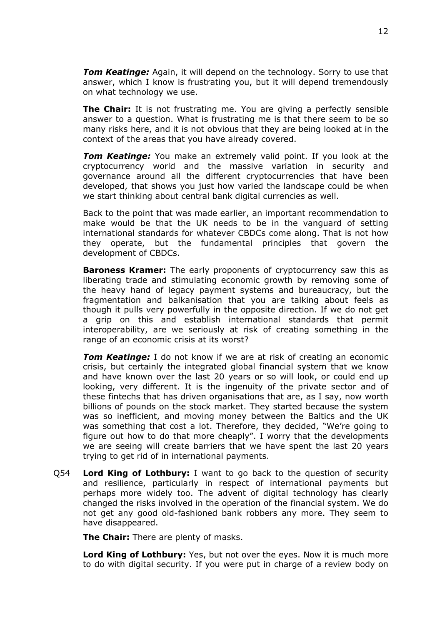*Tom Keatinge:* Again, it will depend on the technology. Sorry to use that answer, which I know is frustrating you, but it will depend tremendously on what technology we use.

**The Chair:** It is not frustrating me. You are giving a perfectly sensible answer to a question. What is frustrating me is that there seem to be so many risks here, and it is not obvious that they are being looked at in the context of the areas that you have already covered.

*Tom Keatinge:* You make an extremely valid point. If you look at the cryptocurrency world and the massive variation in security and governance around all the different cryptocurrencies that have been developed, that shows you just how varied the landscape could be when we start thinking about central bank digital currencies as well.

Back to the point that was made earlier, an important recommendation to make would be that the UK needs to be in the vanguard of setting international standards for whatever CBDCs come along. That is not how they operate, but the fundamental principles that govern the development of CBDCs.

**Baroness Kramer:** The early proponents of cryptocurrency saw this as liberating trade and stimulating economic growth by removing some of the heavy hand of legacy payment systems and bureaucracy, but the fragmentation and balkanisation that you are talking about feels as though it pulls very powerfully in the opposite direction. If we do not get a grip on this and establish international standards that permit interoperability, are we seriously at risk of creating something in the range of an economic crisis at its worst?

*Tom Keatinge:* I do not know if we are at risk of creating an economic crisis, but certainly the integrated global financial system that we know and have known over the last 20 years or so will look, or could end up looking, very different. It is the ingenuity of the private sector and of these fintechs that has driven organisations that are, as I say, now worth billions of pounds on the stock market. They started because the system was so inefficient, and moving money between the Baltics and the UK was something that cost a lot. Therefore, they decided, "We're going to figure out how to do that more cheaply". I worry that the developments we are seeing will create barriers that we have spent the last 20 years trying to get rid of in international payments.

Q54 **Lord King of Lothbury:** I want to go back to the question of security and resilience, particularly in respect of international payments but perhaps more widely too. The advent of digital technology has clearly changed the risks involved in the operation of the financial system. We do not get any good old-fashioned bank robbers any more. They seem to have disappeared.

**The Chair:** There are plenty of masks.

**Lord King of Lothbury:** Yes, but not over the eyes. Now it is much more to do with digital security. If you were put in charge of a review body on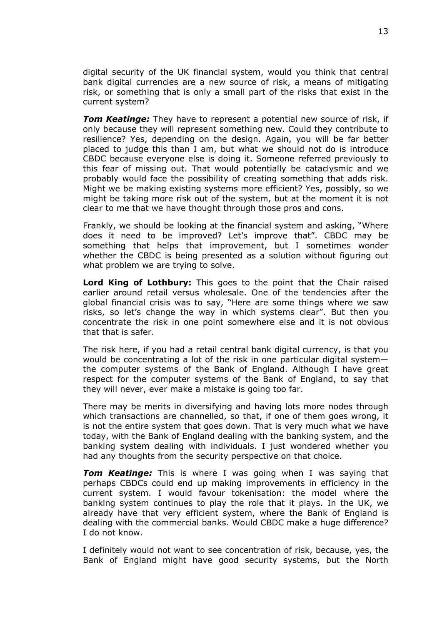digital security of the UK financial system, would you think that central bank digital currencies are a new source of risk, a means of mitigating risk, or something that is only a small part of the risks that exist in the current system?

*Tom Keatinge:* They have to represent a potential new source of risk, if only because they will represent something new. Could they contribute to resilience? Yes, depending on the design. Again, you will be far better placed to judge this than I am, but what we should not do is introduce CBDC because everyone else is doing it. Someone referred previously to this fear of missing out. That would potentially be cataclysmic and we probably would face the possibility of creating something that adds risk. Might we be making existing systems more efficient? Yes, possibly, so we might be taking more risk out of the system, but at the moment it is not clear to me that we have thought through those pros and cons.

Frankly, we should be looking at the financial system and asking, "Where does it need to be improved? Let's improve that". CBDC may be something that helps that improvement, but I sometimes wonder whether the CBDC is being presented as a solution without figuring out what problem we are trying to solve.

**Lord King of Lothbury:** This goes to the point that the Chair raised earlier around retail versus wholesale. One of the tendencies after the global financial crisis was to say, "Here are some things where we saw risks, so let's change the way in which systems clear". But then you concentrate the risk in one point somewhere else and it is not obvious that that is safer.

The risk here, if you had a retail central bank digital currency, is that you would be concentrating a lot of the risk in one particular digital system the computer systems of the Bank of England. Although I have great respect for the computer systems of the Bank of England, to say that they will never, ever make a mistake is going too far.

There may be merits in diversifying and having lots more nodes through which transactions are channelled, so that, if one of them goes wrong, it is not the entire system that goes down. That is very much what we have today, with the Bank of England dealing with the banking system, and the banking system dealing with individuals. I just wondered whether you had any thoughts from the security perspective on that choice.

**Tom Keatinge:** This is where I was going when I was saying that perhaps CBDCs could end up making improvements in efficiency in the current system. I would favour tokenisation: the model where the banking system continues to play the role that it plays. In the UK, we already have that very efficient system, where the Bank of England is dealing with the commercial banks. Would CBDC make a huge difference? I do not know.

I definitely would not want to see concentration of risk, because, yes, the Bank of England might have good security systems, but the North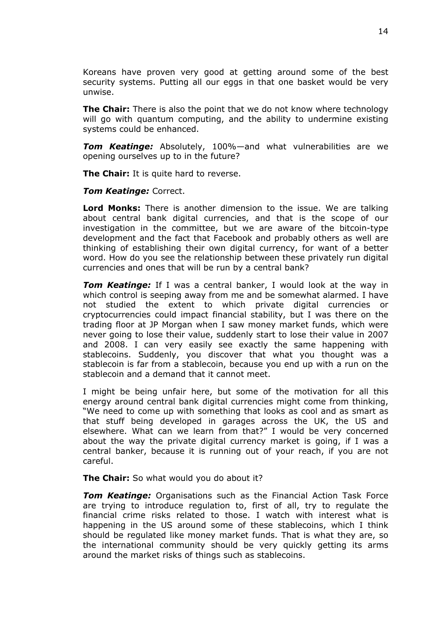Koreans have proven very good at getting around some of the best security systems. Putting all our eggs in that one basket would be very unwise.

**The Chair:** There is also the point that we do not know where technology will go with quantum computing, and the ability to undermine existing systems could be enhanced.

*Tom Keatinge:* Absolutely, 100%—and what vulnerabilities are we opening ourselves up to in the future?

**The Chair:** It is quite hard to reverse.

*Tom Keatinge:* Correct.

**Lord Monks:** There is another dimension to the issue. We are talking about central bank digital currencies, and that is the scope of our investigation in the committee, but we are aware of the bitcoin-type development and the fact that Facebook and probably others as well are thinking of establishing their own digital currency, for want of a better word. How do you see the relationship between these privately run digital currencies and ones that will be run by a central bank?

*Tom Keatinge:* If I was a central banker, I would look at the way in which control is seeping away from me and be somewhat alarmed. I have not studied the extent to which private digital currencies or cryptocurrencies could impact financial stability, but I was there on the trading floor at JP Morgan when I saw money market funds, which were never going to lose their value, suddenly start to lose their value in 2007 and 2008. I can very easily see exactly the same happening with stablecoins. Suddenly, you discover that what you thought was a stablecoin is far from a stablecoin, because you end up with a run on the stablecoin and a demand that it cannot meet.

I might be being unfair here, but some of the motivation for all this energy around central bank digital currencies might come from thinking, "We need to come up with something that looks as cool and as smart as that stuff being developed in garages across the UK, the US and elsewhere. What can we learn from that?" I would be very concerned about the way the private digital currency market is going, if I was a central banker, because it is running out of your reach, if you are not careful.

**The Chair:** So what would you do about it?

*Tom Keatinge:* Organisations such as the Financial Action Task Force are trying to introduce regulation to, first of all, try to regulate the financial crime risks related to those. I watch with interest what is happening in the US around some of these stablecoins, which I think should be regulated like money market funds. That is what they are, so the international community should be very quickly getting its arms around the market risks of things such as stablecoins.